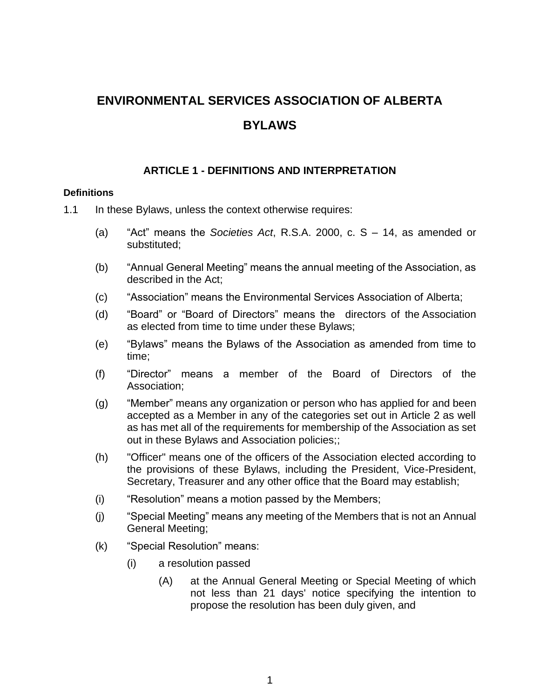# **ENVIRONMENTAL SERVICES ASSOCIATION OF ALBERTA BYLAWS**

# **ARTICLE 1 - DEFINITIONS AND INTERPRETATION**

#### **Definitions**

- 1.1 In these Bylaws, unless the context otherwise requires:
	- (a) "Act" means the *Societies Act*, R.S.A. 2000, c. S 14, as amended or substituted;
	- (b) "Annual General Meeting" means the annual meeting of the Association, as described in the Act;
	- (c) "Association" means the Environmental Services Association of Alberta;
	- (d) "Board" or "Board of Directors" means the directors of the Association as elected from time to time under these Bylaws;
	- (e) "Bylaws" means the Bylaws of the Association as amended from time to time;
	- (f) "Director" means a member of the Board of Directors of the Association;
	- (g) "Member" means any organization or person who has applied for and been accepted as a Member in any of the categories set out in Article 2 as well as has met all of the requirements for membership of the Association as set out in these Bylaws and Association policies;;
	- (h) "Officer" means one of the officers of the Association elected according to the provisions of these Bylaws, including the President, Vice-President, Secretary, Treasurer and any other office that the Board may establish;
	- (i) "Resolution" means a motion passed by the Members;
	- (j) "Special Meeting" means any meeting of the Members that is not an Annual General Meeting;
	- (k) "Special Resolution" means:
		- (i) a resolution passed
			- (A) at the Annual General Meeting or Special Meeting of which not less than 21 days' notice specifying the intention to propose the resolution has been duly given, and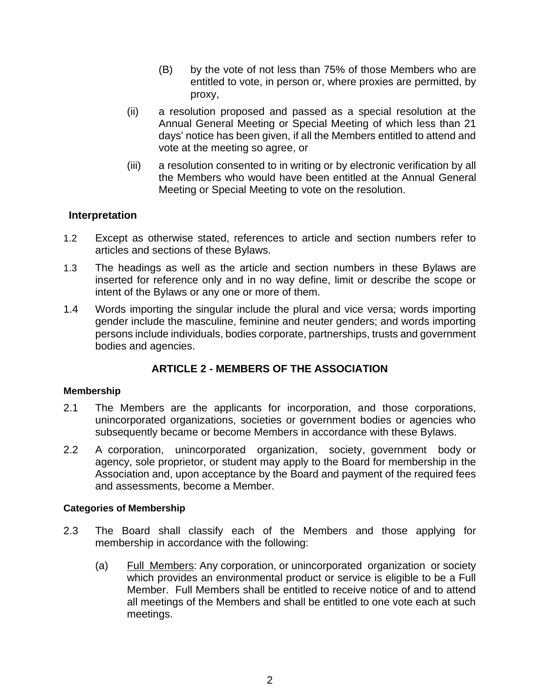- (B) by the vote of not less than 75% of those Members who are entitled to vote, in person or, where proxies are permitted, by proxy,
- (ii) a resolution proposed and passed as a special resolution at the Annual General Meeting or Special Meeting of which less than 21 days' notice has been given, if all the Members entitled to attend and vote at the meeting so agree, or
- (iii) a resolution consented to in writing or by electronic verification by all the Members who would have been entitled at the Annual General Meeting or Special Meeting to vote on the resolution.

## **Interpretation**

- 1.2 Except as otherwise stated, references to article and section numbers refer to articles and sections of these Bylaws.
- 1.3 The headings as well as the article and section numbers in these Bylaws are inserted for reference only and in no way define, limit or describe the scope or intent of the Bylaws or any one or more of them.
- 1.4 Words importing the singular include the plural and vice versa; words importing gender include the masculine, feminine and neuter genders; and words importing persons include individuals, bodies corporate, partnerships, trusts and government bodies and agencies.

# **ARTICLE 2 - MEMBERS OF THE ASSOCIATION**

#### **Membership**

- 2.1 The Members are the applicants for incorporation, and those corporations, unincorporated organizations, societies or government bodies or agencies who subsequently became or become Members in accordance with these Bylaws.
- 2.2 A corporation, unincorporated organization, society, government body or agency, sole proprietor, or student may apply to the Board for membership in the Association and, upon acceptance by the Board and payment of the required fees and assessments, become a Member.

#### **Categories of Membership**

- 2.3 The Board shall classify each of the Members and those applying for membership in accordance with the following:
	- (a) Full Members: Any corporation, or unincorporated organization or society which provides an environmental product or service is eligible to be a Full Member. Full Members shall be entitled to receive notice of and to attend all meetings of the Members and shall be entitled to one vote each at such meetings.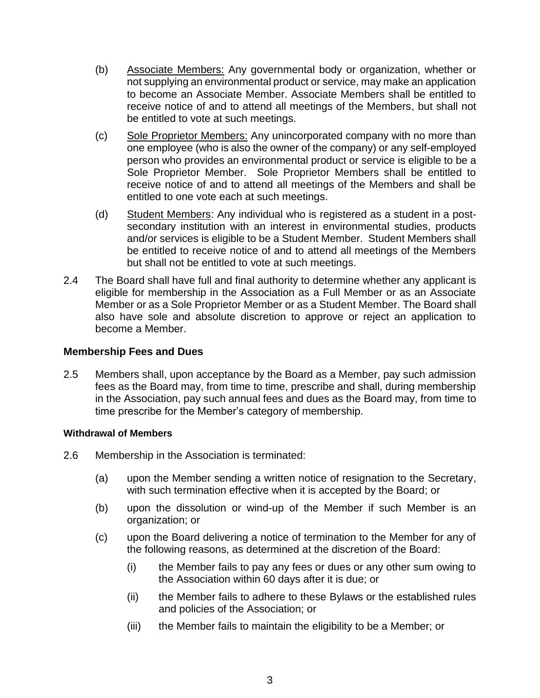- (b) Associate Members: Any governmental body or organization, whether or not supplying an environmental product or service, may make an application to become an Associate Member. Associate Members shall be entitled to receive notice of and to attend all meetings of the Members, but shall not be entitled to vote at such meetings.
- (c) Sole Proprietor Members: Any unincorporated company with no more than one employee (who is also the owner of the company) or any self-employed person who provides an environmental product or service is eligible to be a Sole Proprietor Member. Sole Proprietor Members shall be entitled to receive notice of and to attend all meetings of the Members and shall be entitled to one vote each at such meetings.
- (d) Student Members: Any individual who is registered as a student in a postsecondary institution with an interest in environmental studies, products and/or services is eligible to be a Student Member. Student Members shall be entitled to receive notice of and to attend all meetings of the Members but shall not be entitled to vote at such meetings.
- 2.4 The Board shall have full and final authority to determine whether any applicant is eligible for membership in the Association as a Full Member or as an Associate Member or as a Sole Proprietor Member or as a Student Member. The Board shall also have sole and absolute discretion to approve or reject an application to become a Member.

## **Membership Fees and Dues**

2.5 Members shall, upon acceptance by the Board as a Member, pay such admission fees as the Board may, from time to time, prescribe and shall, during membership in the Association, pay such annual fees and dues as the Board may, from time to time prescribe for the Member's category of membership.

## **Withdrawal of Members**

- <span id="page-2-0"></span>2.6 Membership in the Association is terminated:
	- (a) upon the Member sending a written notice of resignation to the Secretary, with such termination effective when it is accepted by the Board; or
	- (b) upon the dissolution or wind-up of the Member if such Member is an organization; or
	- (c) upon the Board delivering a notice of termination to the Member for any of the following reasons, as determined at the discretion of the Board:
		- (i) the Member fails to pay any fees or dues or any other sum owing to the Association within 60 days after it is due; or
		- (ii) the Member fails to adhere to these Bylaws or the established rules and policies of the Association; or
		- (iii) the Member fails to maintain the eligibility to be a Member; or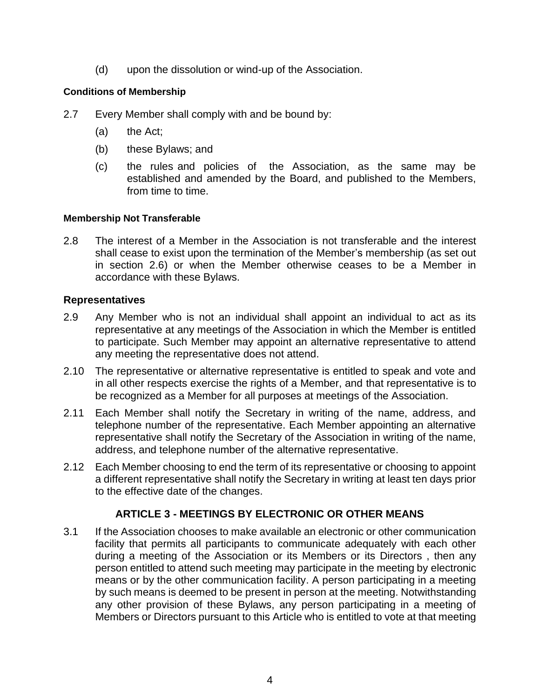(d) upon the dissolution or wind-up of the Association.

# **Conditions of Membership**

- 2.7 Every Member shall comply with and be bound by:
	- (a) the Act;
	- (b) these Bylaws; and
	- (c) the rules and policies of the Association, as the same may be established and amended by the Board, and published to the Members, from time to time.

## **Membership Not Transferable**

2.8 The interest of a Member in the Association is not transferable and the interest shall cease to exist upon the termination of the Member's membership (as set out in section [2.6\)](#page-2-0) or when the Member otherwise ceases to be a Member in accordance with these Bylaws.

# **Representatives**

- 2.9 Any Member who is not an individual shall appoint an individual to act as its representative at any meetings of the Association in which the Member is entitled to participate. Such Member may appoint an alternative representative to attend any meeting the representative does not attend.
- 2.10 The representative or alternative representative is entitled to speak and vote and in all other respects exercise the rights of a Member, and that representative is to be recognized as a Member for all purposes at meetings of the Association.
- 2.11 Each Member shall notify the Secretary in writing of the name, address, and telephone number of the representative. Each Member appointing an alternative representative shall notify the Secretary of the Association in writing of the name, address, and telephone number of the alternative representative.
- 2.12 Each Member choosing to end the term of its representative or choosing to appoint a different representative shall notify the Secretary in writing at least ten days prior to the effective date of the changes.

# **ARTICLE 3 - MEETINGS BY ELECTRONIC OR OTHER MEANS**

3.1 If the Association chooses to make available an electronic or other communication facility that permits all participants to communicate adequately with each other during a meeting of the Association or its Members or its Directors , then any person entitled to attend such meeting may participate in the meeting by electronic means or by the other communication facility. A person participating in a meeting by such means is deemed to be present in person at the meeting. Notwithstanding any other provision of these Bylaws, any person participating in a meeting of Members or Directors pursuant to this Article who is entitled to vote at that meeting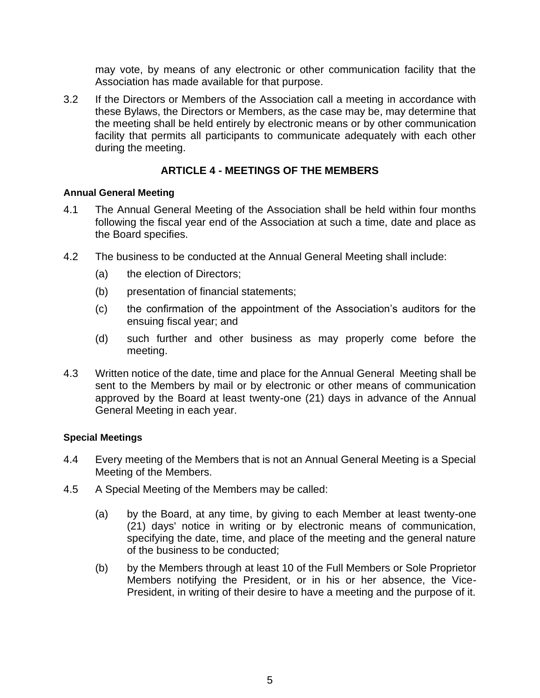may vote, by means of any electronic or other communication facility that the Association has made available for that purpose.

3.2 If the Directors or Members of the Association call a meeting in accordance with these Bylaws, the Directors or Members, as the case may be, may determine that the meeting shall be held entirely by electronic means or by other communication facility that permits all participants to communicate adequately with each other during the meeting.

# **ARTICLE 4 - MEETINGS OF THE MEMBERS**

#### **Annual General Meeting**

- 4.1 The Annual General Meeting of the Association shall be held within four months following the fiscal year end of the Association at such a time, date and place as the Board specifies.
- 4.2 The business to be conducted at the Annual General Meeting shall include:
	- (a) the election of Directors;
	- (b) presentation of financial statements;
	- (c) the confirmation of the appointment of the Association's auditors for the ensuing fiscal year; and
	- (d) such further and other business as may properly come before the meeting.
- 4.3 Written notice of the date, time and place for the Annual General Meeting shall be sent to the Members by mail or by electronic or other means of communication approved by the Board at least twenty-one (21) days in advance of the Annual General Meeting in each year.

## **Special Meetings**

- 4.4 Every meeting of the Members that is not an Annual General Meeting is a Special Meeting of the Members.
- <span id="page-4-1"></span><span id="page-4-0"></span>4.5 A Special Meeting of the Members may be called:
	- (a) by the Board, at any time, by giving to each Member at least twenty-one (21) days' notice in writing or by electronic means of communication, specifying the date, time, and place of the meeting and the general nature of the business to be conducted;
	- (b) by the Members through at least 10 of the Full Members or Sole Proprietor Members notifying the President, or in his or her absence, the Vice-President, in writing of their desire to have a meeting and the purpose of it.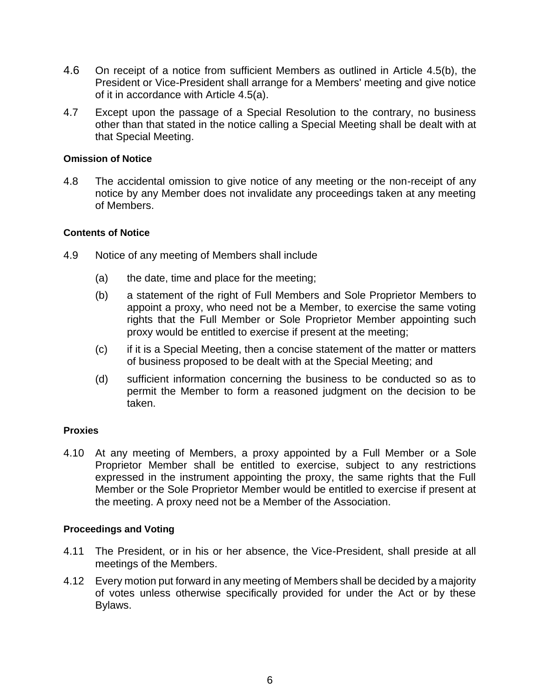- 4.6 On receipt of a notice from sufficient Members as outlined in Article [4.5\(b\),](#page-4-0) the President or Vice-President shall arrange for a Members' meeting and give notice of it in accordance with Article [4.5\(a\).](#page-4-1)
- 4.7 Except upon the passage of a Special Resolution to the contrary, no business other than that stated in the notice calling a Special Meeting shall be dealt with at that Special Meeting.

#### **Omission of Notice**

4.8 The accidental omission to give notice of any meeting or the non-receipt of any notice by any Member does not invalidate any proceedings taken at any meeting of Members.

#### **Contents of Notice**

- 4.9 Notice of any meeting of Members shall include
	- (a) the date, time and place for the meeting;
	- (b) a statement of the right of Full Members and Sole Proprietor Members to appoint a proxy, who need not be a Member, to exercise the same voting rights that the Full Member or Sole Proprietor Member appointing such proxy would be entitled to exercise if present at the meeting;
	- (c) if it is a Special Meeting, then a concise statement of the matter or matters of business proposed to be dealt with at the Special Meeting; and
	- (d) sufficient information concerning the business to be conducted so as to permit the Member to form a reasoned judgment on the decision to be taken.

## **Proxies**

4.10 At any meeting of Members, a proxy appointed by a Full Member or a Sole Proprietor Member shall be entitled to exercise, subject to any restrictions expressed in the instrument appointing the proxy, the same rights that the Full Member or the Sole Proprietor Member would be entitled to exercise if present at the meeting. A proxy need not be a Member of the Association.

#### **Proceedings and Voting**

- 4.11 The President, or in his or her absence, the Vice-President, shall preside at all meetings of the Members.
- 4.12 Every motion put forward in any meeting of Members shall be decided by a majority of votes unless otherwise specifically provided for under the Act or by these Bylaws.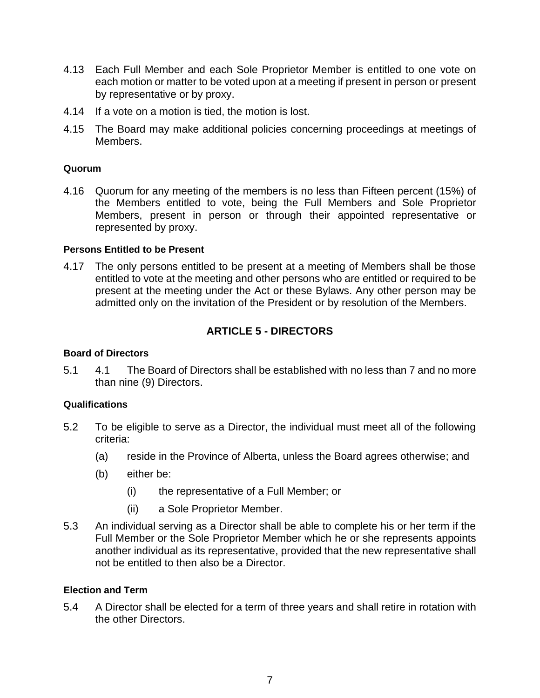- 4.13 Each Full Member and each Sole Proprietor Member is entitled to one vote on each motion or matter to be voted upon at a meeting if present in person or present by representative or by proxy.
- 4.14 If a vote on a motion is tied, the motion is lost.
- 4.15 The Board may make additional policies concerning proceedings at meetings of Members.

#### **Quorum**

4.16 Quorum for any meeting of the members is no less than Fifteen percent (15%) of the Members entitled to vote, being the Full Members and Sole Proprietor Members, present in person or through their appointed representative or represented by proxy.

#### **Persons Entitled to be Present**

4.17 The only persons entitled to be present at a meeting of Members shall be those entitled to vote at the meeting and other persons who are entitled or required to be present at the meeting under the Act or these Bylaws. Any other person may be admitted only on the invitation of the President or by resolution of the Members.

# **ARTICLE 5 - DIRECTORS**

#### **Board of Directors**

5.1 4.1 The Board of Directors shall be established with no less than 7 and no more than nine (9) Directors.

#### **Qualifications**

- 5.2 To be eligible to serve as a Director, the individual must meet all of the following criteria:
	- (a) reside in the Province of Alberta, unless the Board agrees otherwise; and
	- (b) either be:
		- (i) the representative of a Full Member; or
		- (ii) a Sole Proprietor Member.
- 5.3 An individual serving as a Director shall be able to complete his or her term if the Full Member or the Sole Proprietor Member which he or she represents appoints another individual as its representative, provided that the new representative shall not be entitled to then also be a Director.

#### **Election and Term**

5.4 A Director shall be elected for a term of three years and shall retire in rotation with the other Directors.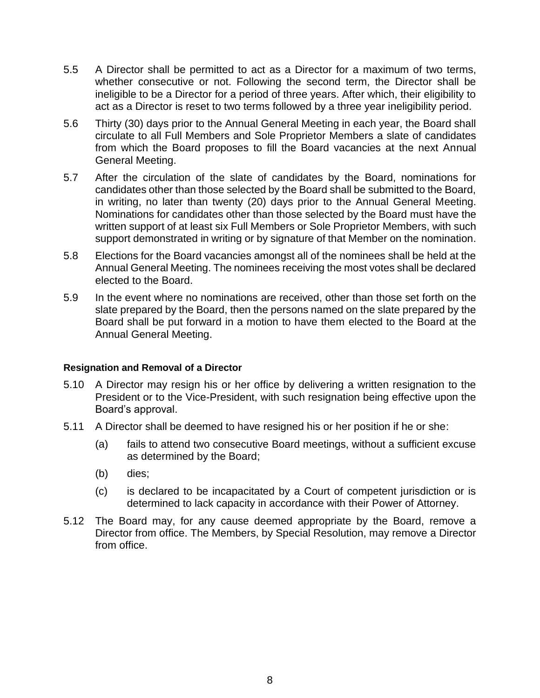- 5.5 A Director shall be permitted to act as a Director for a maximum of two terms, whether consecutive or not. Following the second term, the Director shall be ineligible to be a Director for a period of three years. After which, their eligibility to act as a Director is reset to two terms followed by a three year ineligibility period.
- 5.6 Thirty (30) days prior to the Annual General Meeting in each year, the Board shall circulate to all Full Members and Sole Proprietor Members a slate of candidates from which the Board proposes to fill the Board vacancies at the next Annual General Meeting.
- 5.7 After the circulation of the slate of candidates by the Board, nominations for candidates other than those selected by the Board shall be submitted to the Board, in writing, no later than twenty (20) days prior to the Annual General Meeting. Nominations for candidates other than those selected by the Board must have the written support of at least six Full Members or Sole Proprietor Members, with such support demonstrated in writing or by signature of that Member on the nomination.
- 5.8 Elections for the Board vacancies amongst all of the nominees shall be held at the Annual General Meeting. The nominees receiving the most votes shall be declared elected to the Board.
- 5.9 In the event where no nominations are received, other than those set forth on the slate prepared by the Board, then the persons named on the slate prepared by the Board shall be put forward in a motion to have them elected to the Board at the Annual General Meeting.

#### **Resignation and Removal of a Director**

- 5.10 A Director may resign his or her office by delivering a written resignation to the President or to the Vice-President, with such resignation being effective upon the Board's approval.
- 5.11 A Director shall be deemed to have resigned his or her position if he or she:
	- (a) fails to attend two consecutive Board meetings, without a sufficient excuse as determined by the Board;
	- (b) dies;
	- (c) is declared to be incapacitated by a Court of competent jurisdiction or is determined to lack capacity in accordance with their Power of Attorney.
- 5.12 The Board may, for any cause deemed appropriate by the Board, remove a Director from office. The Members, by Special Resolution, may remove a Director from office.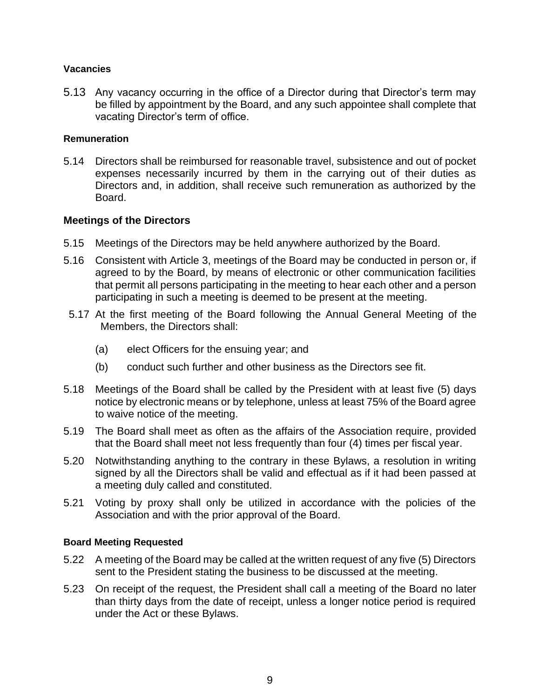#### **Vacancies**

5.13 Any vacancy occurring in the office of a Director during that Director's term may be filled by appointment by the Board, and any such appointee shall complete that vacating Director's term of office.

#### **Remuneration**

5.14 Directors shall be reimbursed for reasonable travel, subsistence and out of pocket expenses necessarily incurred by them in the carrying out of their duties as Directors and, in addition, shall receive such remuneration as authorized by the Board.

## **Meetings of the Directors**

- 5.15 Meetings of the Directors may be held anywhere authorized by the Board.
- 5.16 Consistent with Article 3, meetings of the Board may be conducted in person or, if agreed to by the Board, by means of electronic or other communication facilities that permit all persons participating in the meeting to hear each other and a person participating in such a meeting is deemed to be present at the meeting.
- 5.17 At the first meeting of the Board following the Annual General Meeting of the Members, the Directors shall:
	- (a) elect Officers for the ensuing year; and
	- (b) conduct such further and other business as the Directors see fit.
- 5.18 Meetings of the Board shall be called by the President with at least five (5) days notice by electronic means or by telephone, unless at least 75% of the Board agree to waive notice of the meeting.
- 5.19 The Board shall meet as often as the affairs of the Association require, provided that the Board shall meet not less frequently than four (4) times per fiscal year.
- 5.20 Notwithstanding anything to the contrary in these Bylaws, a resolution in writing signed by all the Directors shall be valid and effectual as if it had been passed at a meeting duly called and constituted.
- 5.21 Voting by proxy shall only be utilized in accordance with the policies of the Association and with the prior approval of the Board.

#### **Board Meeting Requested**

- 5.22 A meeting of the Board may be called at the written request of any five (5) Directors sent to the President stating the business to be discussed at the meeting.
- 5.23 On receipt of the request, the President shall call a meeting of the Board no later than thirty days from the date of receipt, unless a longer notice period is required under the Act or these Bylaws.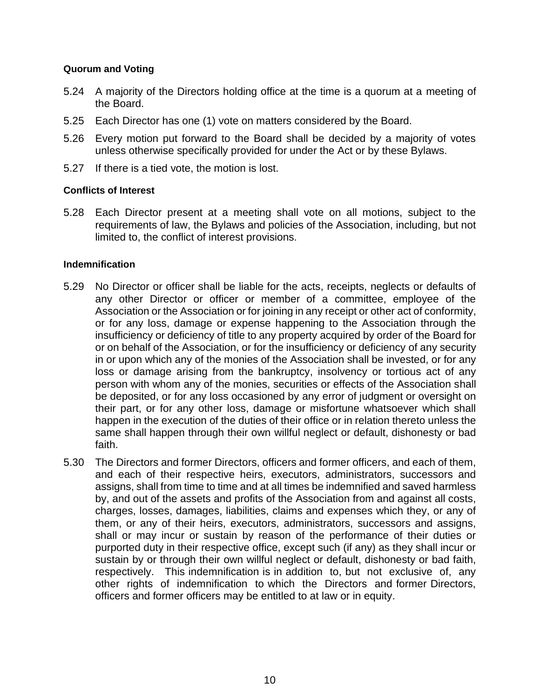#### **Quorum and Voting**

- 5.24 A majority of the Directors holding office at the time is a quorum at a meeting of the Board.
- 5.25 Each Director has one (1) vote on matters considered by the Board.
- 5.26 Every motion put forward to the Board shall be decided by a majority of votes unless otherwise specifically provided for under the Act or by these Bylaws.
- 5.27 If there is a tied vote, the motion is lost.

#### **Conflicts of Interest**

5.28 Each Director present at a meeting shall vote on all motions, subject to the requirements of law, the Bylaws and policies of the Association, including, but not limited to, the conflict of interest provisions.

#### **Indemnification**

- 5.29 No Director or officer shall be liable for the acts, receipts, neglects or defaults of any other Director or officer or member of a committee, employee of the Association or the Association or for joining in any receipt or other act of conformity, or for any loss, damage or expense happening to the Association through the insufficiency or deficiency of title to any property acquired by order of the Board for or on behalf of the Association, or for the insufficiency or deficiency of any security in or upon which any of the monies of the Association shall be invested, or for any loss or damage arising from the bankruptcy, insolvency or tortious act of any person with whom any of the monies, securities or effects of the Association shall be deposited, or for any loss occasioned by any error of judgment or oversight on their part, or for any other loss, damage or misfortune whatsoever which shall happen in the execution of the duties of their office or in relation thereto unless the same shall happen through their own willful neglect or default, dishonesty or bad faith.
- 5.30 The Directors and former Directors, officers and former officers, and each of them, and each of their respective heirs, executors, administrators, successors and assigns, shall from time to time and at all times be indemnified and saved harmless by, and out of the assets and profits of the Association from and against all costs, charges, losses, damages, liabilities, claims and expenses which they, or any of them, or any of their heirs, executors, administrators, successors and assigns, shall or may incur or sustain by reason of the performance of their duties or purported duty in their respective office, except such (if any) as they shall incur or sustain by or through their own willful neglect or default, dishonesty or bad faith, respectively. This indemnification is in addition to, but not exclusive of, any other rights of indemnification to which the Directors and former Directors, officers and former officers may be entitled to at law or in equity.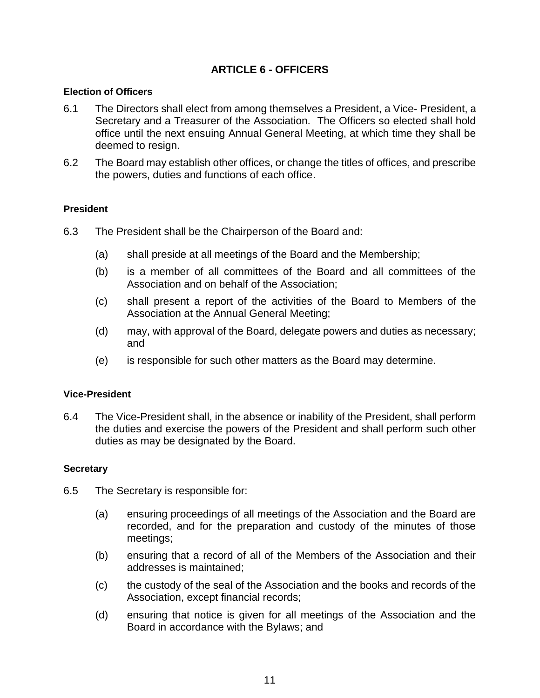# **ARTICLE 6 - OFFICERS**

#### **Election of Officers**

- 6.1 The Directors shall elect from among themselves a President, a Vice- President, a Secretary and a Treasurer of the Association. The Officers so elected shall hold office until the next ensuing Annual General Meeting, at which time they shall be deemed to resign.
- 6.2 The Board may establish other offices, or change the titles of offices, and prescribe the powers, duties and functions of each office.

#### **President**

- 6.3 The President shall be the Chairperson of the Board and:
	- (a) shall preside at all meetings of the Board and the Membership;
	- (b) is a member of all committees of the Board and all committees of the Association and on behalf of the Association;
	- (c) shall present a report of the activities of the Board to Members of the Association at the Annual General Meeting;
	- (d) may, with approval of the Board, delegate powers and duties as necessary; and
	- (e) is responsible for such other matters as the Board may determine.

#### **Vice-President**

6.4 The Vice-President shall, in the absence or inability of the President, shall perform the duties and exercise the powers of the President and shall perform such other duties as may be designated by the Board.

#### **Secretary**

- 6.5 The Secretary is responsible for:
	- (a) ensuring proceedings of all meetings of the Association and the Board are recorded, and for the preparation and custody of the minutes of those meetings;
	- (b) ensuring that a record of all of the Members of the Association and their addresses is maintained;
	- (c) the custody of the seal of the Association and the books and records of the Association, except financial records;
	- (d) ensuring that notice is given for all meetings of the Association and the Board in accordance with the Bylaws; and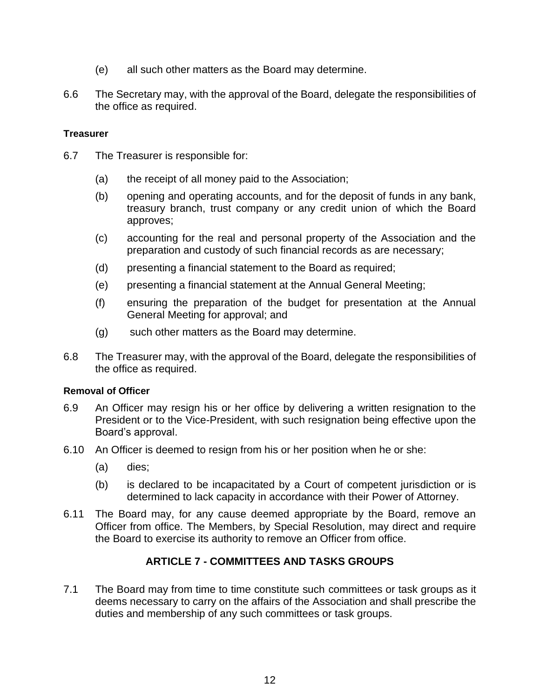- (e) all such other matters as the Board may determine.
- 6.6 The Secretary may, with the approval of the Board, delegate the responsibilities of the office as required.

#### **Treasurer**

- 6.7 The Treasurer is responsible for:
	- (a) the receipt of all money paid to the Association;
	- (b) opening and operating accounts, and for the deposit of funds in any bank, treasury branch, trust company or any credit union of which the Board approves;
	- (c) accounting for the real and personal property of the Association and the preparation and custody of such financial records as are necessary;
	- (d) presenting a financial statement to the Board as required;
	- (e) presenting a financial statement at the Annual General Meeting;
	- (f) ensuring the preparation of the budget for presentation at the Annual General Meeting for approval; and
	- (g) such other matters as the Board may determine.
- 6.8 The Treasurer may, with the approval of the Board, delegate the responsibilities of the office as required.

#### **Removal of Officer**

- 6.9 An Officer may resign his or her office by delivering a written resignation to the President or to the Vice-President, with such resignation being effective upon the Board's approval.
- 6.10 An Officer is deemed to resign from his or her position when he or she:
	- (a) dies;
	- (b) is declared to be incapacitated by a Court of competent jurisdiction or is determined to lack capacity in accordance with their Power of Attorney.
- 6.11 The Board may, for any cause deemed appropriate by the Board, remove an Officer from office. The Members, by Special Resolution, may direct and require the Board to exercise its authority to remove an Officer from office.

# **ARTICLE 7 - COMMITTEES AND TASKS GROUPS**

7.1 The Board may from time to time constitute such committees or task groups as it deems necessary to carry on the affairs of the Association and shall prescribe the duties and membership of any such committees or task groups.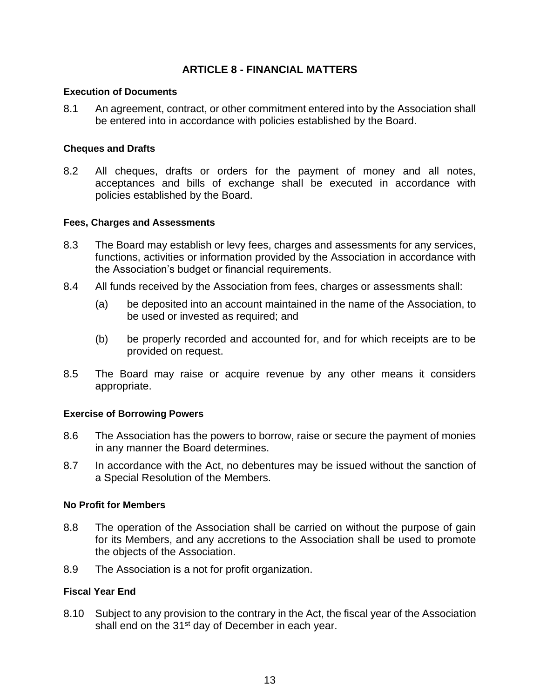# **ARTICLE 8 - FINANCIAL MATTERS**

#### **Execution of Documents**

8.1 An agreement, contract, or other commitment entered into by the Association shall be entered into in accordance with policies established by the Board.

#### **Cheques and Drafts**

8.2 All cheques, drafts or orders for the payment of money and all notes, acceptances and bills of exchange shall be executed in accordance with policies established by the Board.

#### **Fees, Charges and Assessments**

- 8.3 The Board may establish or levy fees, charges and assessments for any services, functions, activities or information provided by the Association in accordance with the Association's budget or financial requirements.
- 8.4 All funds received by the Association from fees, charges or assessments shall:
	- (a) be deposited into an account maintained in the name of the Association, to be used or invested as required; and
	- (b) be properly recorded and accounted for, and for which receipts are to be provided on request.
- 8.5 The Board may raise or acquire revenue by any other means it considers appropriate.

## **Exercise of Borrowing Powers**

- 8.6 The Association has the powers to borrow, raise or secure the payment of monies in any manner the Board determines.
- 8.7 In accordance with the Act, no debentures may be issued without the sanction of a Special Resolution of the Members.

## **No Profit for Members**

- 8.8 The operation of the Association shall be carried on without the purpose of gain for its Members, and any accretions to the Association shall be used to promote the objects of the Association.
- 8.9 The Association is a not for profit organization.

## **Fiscal Year End**

8.10 Subject to any provision to the contrary in the Act, the fiscal year of the Association shall end on the 31<sup>st</sup> day of December in each year.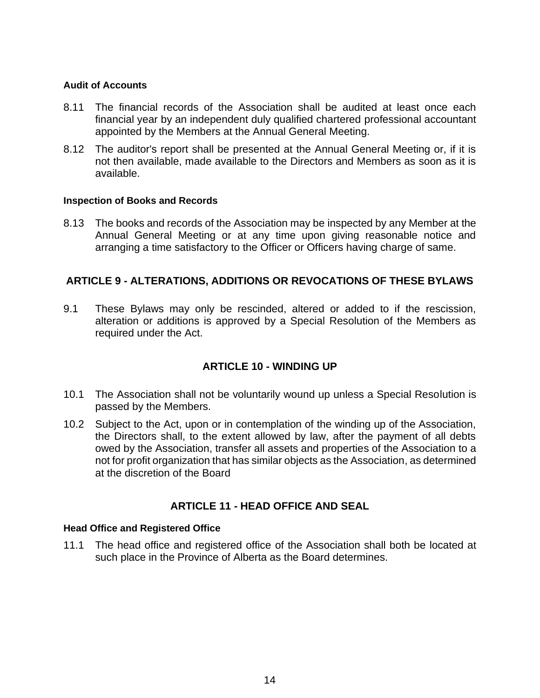#### **Audit of Accounts**

- 8.11 The financial records of the Association shall be audited at least once each financial year by an independent duly qualified chartered professional accountant appointed by the Members at the Annual General Meeting.
- 8.12 The auditor's report shall be presented at the Annual General Meeting or, if it is not then available, made available to the Directors and Members as soon as it is available.

#### **Inspection of Books and Records**

8.13 The books and records of the Association may be inspected by any Member at the Annual General Meeting or at any time upon giving reasonable notice and arranging a time satisfactory to the Officer or Officers having charge of same.

# **ARTICLE 9 - ALTERATIONS, ADDITIONS OR REVOCATIONS OF THESE BYLAWS**

9.1 These Bylaws may only be rescinded, altered or added to if the rescission, alteration or additions is approved by a Special Resolution of the Members as required under the Act.

# **ARTICLE 10 - WINDING UP**

- 10.1 The Association shall not be voluntarily wound up unless a Special Resolution is passed by the Members.
- 10.2 Subject to the Act, upon or in contemplation of the winding up of the Association, the Directors shall, to the extent allowed by law, after the payment of all debts owed by the Association, transfer all assets and properties of the Association to a not for profit organization that has similar objects as the Association, as determined at the discretion of the Board

# **ARTICLE 11 - HEAD OFFICE AND SEAL**

#### **Head Office and Registered Office**

11.1 The head office and registered office of the Association shall both be located at such place in the Province of Alberta as the Board determines.